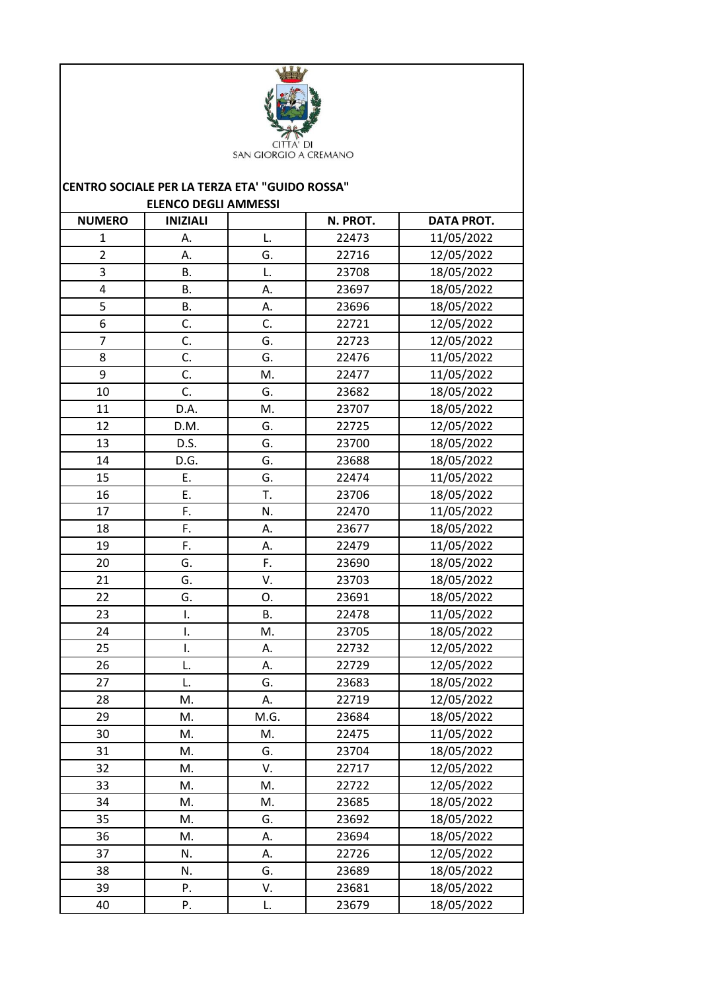

## **CENTRO SOCIALE PER LA TERZA ETA' "GUIDO ROSSA" ELENCO DEGLI AMMESSI**

| <b>NUMERO</b>           | <b>INIZIALI</b> |           | N. PROT. | <b>DATA PROT.</b> |
|-------------------------|-----------------|-----------|----------|-------------------|
| $\mathbf{1}$            | А.              | L.        | 22473    | 11/05/2022        |
| $\overline{2}$          | А.              | G.        | 22716    | 12/05/2022        |
| $\overline{\mathbf{3}}$ | <b>B.</b>       | L.        | 23708    | 18/05/2022        |
| 4                       | <b>B.</b>       | А.        | 23697    | 18/05/2022        |
| 5                       | В.              | А.        | 23696    | 18/05/2022        |
| 6                       | C.              | C.        | 22721    | 12/05/2022        |
| $\overline{7}$          | C.              | G.        | 22723    | 12/05/2022        |
| 8                       | C.              | G.        | 22476    | 11/05/2022        |
| 9                       | C.              | M.        | 22477    | 11/05/2022        |
| 10                      | C.              | G.        | 23682    | 18/05/2022        |
| 11                      | D.A.            | M.        | 23707    | 18/05/2022        |
| 12                      | D.M.            | G.        | 22725    | 12/05/2022        |
| 13                      | D.S.            | G.        | 23700    | 18/05/2022        |
| 14                      | D.G.            | G.        | 23688    | 18/05/2022        |
| 15                      | Ε.              | G.        | 22474    | 11/05/2022        |
| 16                      | E.              | T.        | 23706    | 18/05/2022        |
| 17                      | F.              | N.        | 22470    | 11/05/2022        |
| 18                      | F.              | А.        | 23677    | 18/05/2022        |
| 19                      | F.              | А.        | 22479    | 11/05/2022        |
| 20                      | G.              | F.        | 23690    | 18/05/2022        |
| 21                      | G.              | V.        | 23703    | 18/05/2022        |
| 22                      | G.              | Ο.        | 23691    | 18/05/2022        |
| 23                      | I.              | <b>B.</b> | 22478    | 11/05/2022        |
| 24                      | I.              | M.        | 23705    | 18/05/2022        |
| 25                      | I.              | А.        | 22732    | 12/05/2022        |
| 26                      | L.              | А.        | 22729    | 12/05/2022        |
| 27                      | L.              | G.        | 23683    | 18/05/2022        |
| 28                      | M.              | А.        | 22719    | 12/05/2022        |
| 29                      | M.              | M.G.      | 23684    | 18/05/2022        |
| 30                      | M.              | М.        | 22475    | 11/05/2022        |
| 31                      | Μ.              | G.        | 23704    | 18/05/2022        |
| 32                      | Μ.              | V.        | 22717    | 12/05/2022        |
| 33                      | М.              | M.        | 22722    | 12/05/2022        |
| 34                      | Μ.              | М.        | 23685    | 18/05/2022        |
| 35                      | М.              | G.        | 23692    | 18/05/2022        |
| 36                      | М.              | А.        | 23694    | 18/05/2022        |
| 37                      | N.              | А.        | 22726    | 12/05/2022        |
| 38                      | N.              | G.        | 23689    | 18/05/2022        |
| 39                      | Ρ.              | V.        | 23681    | 18/05/2022        |
| 40                      | Ρ.              | L.        | 23679    | 18/05/2022        |